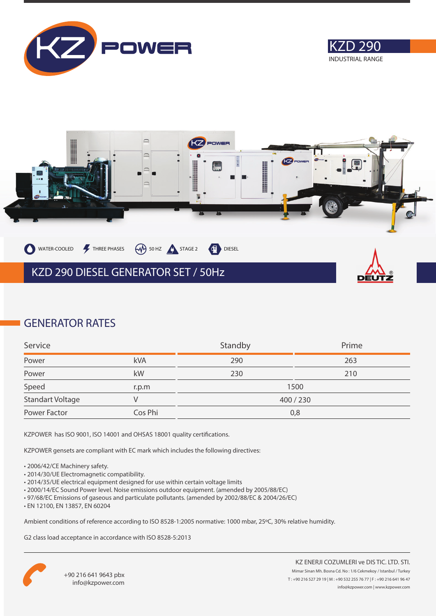





### **GENERATOR RATES**

| Service                 |         | Standby   | Prime |
|-------------------------|---------|-----------|-------|
| Power                   | kVA     | 290       | 263   |
| Power                   | kW      | 230       | 210   |
| Speed                   | r.p.m   | 1500      |       |
| <b>Standart Voltage</b> |         | 400 / 230 |       |
| Power Factor            | Cos Phi | 0,8       |       |

KZPOWER has ISO 9001, ISO 14001 and OHSAS 18001 quality certifications.

KZPOWER gensets are compliant with EC mark which includes the following directives:

- 2006/42/CE Machinery safety.
- 2014/30/UE Electromagnetic compatibility.
- 2014/35/UE electrical equipment designed for use within certain voltage limits
- 2000/14/EC Sound Power level. Noise emissions outdoor equipment. (amended by 2005/88/EC)
- 97/68/EC Emissions of gaseous and particulate pollutants. (amended by 2002/88/EC & 2004/26/EC)
- EN 12100, EN 13857, EN 60204

Ambient conditions of reference according to ISO 8528-1:2005 normative: 1000 mbar, 25ºC, 30% relative humidity.

G2 class load acceptance in accordance with ISO 8528-5:2013

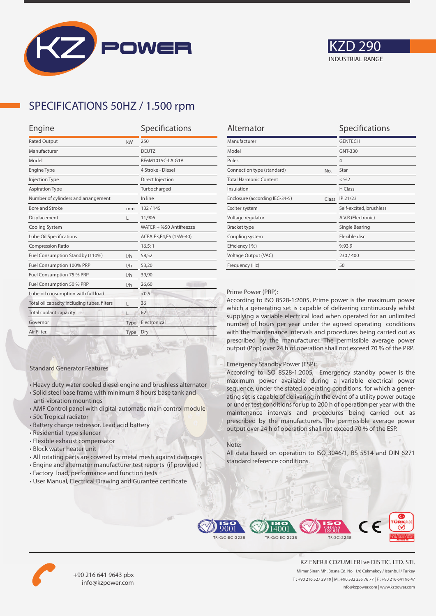



## **SPECIFICATIONS 50HZ / 1.500 rpm**

| Engine                                           |                   |  |
|--------------------------------------------------|-------------------|--|
| <b>Rated Output</b><br>kW                        |                   |  |
| Manufacturer                                     |                   |  |
| Model                                            |                   |  |
|                                                  | 4 Stroke - Diesel |  |
|                                                  | Direct Injection  |  |
| <b>Aspiration Type</b>                           |                   |  |
|                                                  | In line           |  |
| mm                                               | 132/145           |  |
| L                                                | 11,906            |  |
| Cooling System                                   |                   |  |
| Lube Oil Specifications                          |                   |  |
|                                                  | 16.5:1            |  |
| 1/h                                              | 58,52             |  |
| 1/h                                              | 53,20             |  |
| 1/h                                              | 39,90             |  |
| 1/h                                              | 26,60             |  |
| Lube oil consumption with full load              |                   |  |
| Total oil capacity including tubes, filters<br>г |                   |  |
| Total coolant capacity                           |                   |  |
| Type                                             | Electronical      |  |
| Type                                             | Dry               |  |
|                                                  |                   |  |

| Alternator                              | Specifications          |
|-----------------------------------------|-------------------------|
| Manufacturer                            | <b>GENTECH</b>          |
| Model                                   | GNT-330                 |
| Poles                                   | $\overline{4}$          |
| Connection type (standard)<br>No.       | Star                    |
| <b>Total Harmonic Content</b>           | $<$ %2                  |
| Insulation                              | H Class                 |
| Enclosure (according IEC-34-5)<br>Class | IP 21/23                |
| Exciter system                          | Self-excited, brushless |
| Voltage regulator                       | A.V.R (Electronic)      |
| <b>Bracket type</b>                     | Single Bearing          |
| Coupling system                         | Flexible disc           |
| Efficiency (%)                          | %93,9                   |
| Voltage Output (VAC)                    | 230/400                 |
| Frequency (Hz)                          | 50                      |
|                                         |                         |

#### Prime Power (PRP):

According to ISO 8528-1:2005, Prime power is the maximum power which a generating set is capable of delivering continuously whilst supplying a variable electrical load when operated for an unlimited number of hours per year under the agreed operating conditions with the maintenance intervals and procedures being carried out as prescribed by the manufacturer. The permissible average power output (Ppp) over 24 h of operation shall not exceed 70 % of the PRP.

#### Emergency Standby Power (ESP):

According to ISO 8528-1:2005, Emergency standby power is the maximum power available during a variable electrical power sequence, under the stated operating conditions, for which a generating set is capable of delivering in the event of a utility power outage or under test conditions for up to 200 h of operation per year with the maintenance intervals and procedures being carried out as prescribed by the manufacturers. The permissible average power output over 24 h of operation shall not exceed 70 % of the ESP.

#### Note:

All data based on operation to ISO 3046/1, BS 5514 and DIN 6271 standard reference conditions.



• All rotating parts are covered by metal mesh against damages

• Heavy duty water cooled diesel engine and brushless alternator • Solid steel base frame with minimum 8 hours base tank and

• AMF Control panel with digital-automatic main control module

• User Manual, Electrical Drawing and Gurantee certificate

Standard Generator Features

anti-vibration mountings

• Residential type silencer • Flexible exhaust compensator • Block water heater unit

• Battery charge redressor. Lead acid battery

• 50c Tropical radiator





+90 216 641 9643 pbx info@kzpower.com

KZ ENERJI COZUMLERI ve DIS TIC. LTD. STI. Mimar Sinan Mh. Bosna Cd. No : 1/6 Cekmekoy / Istanbul / Turkey T : +90 216 527 29 19 | M : +90 532 255 76 77 | F : +90 216 641 96 47 info@kzpower.com | www.kzpower.com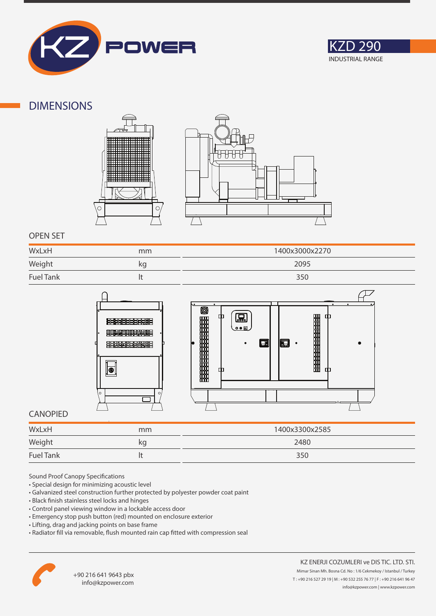



### **DIMENSIONS**





### **OPEN SET**

| WxLxH            | mm | 1400x3000x2270 |
|------------------|----|----------------|
| Weight           | kg | 2095           |
| <b>Fuel Tank</b> |    | 350            |



### **CANOPIED**

| WxLxH                                               | mm | 1400x3300x2585 |
|-----------------------------------------------------|----|----------------|
| Weight<br>the control of the control of the control | κg | 2480           |
| <b>Fuel Tank</b>                                    |    | 350            |

Sound Proof Canopy Specifications

- Special design for minimizing acoustic level
- Galvanized steel construction further protected by polyester powder coat paint
- Black finish stainless steel locks and hinges
- Control panel viewing window in a lockable access door
- Emergency stop push button (red) mounted on enclosure exterior
- Lifting, drag and jacking points on base frame
- Radiator fill via removable, flush mounted rain cap fitted with compression seal